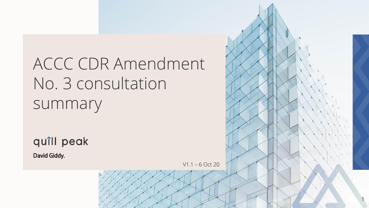# ACCC CDR Amendment No. 3 consultation summary

quîll peak

David Giddy.

V1.1 – 6 Oct 20

1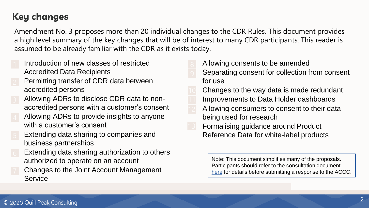### **Key changes**

Amendment No. 3 proposes more than 20 individual changes to the CDR Rules. This document provides a high level summary of the key changes that will be of interest to many CDR participants. This reader is assumed to be already familiar with the CDR as it exists today.

- Introduction of new classes of restricted Accredited Data Recipients
- Permitting transfer of CDR data between accredited persons
- Allowing ADRs to disclose CDR data to nonaccredited persons with a customer's consent
- Allowing ADRs to provide insights to anyone with a customer's consent
- Extending data sharing to companies and business partnerships
- Extending data sharing authorization to others authorized to operate on an account
- Changes to the Joint Account Management **Service**
- Allowing consents to be amended
- Separating consent for collection from consent for use
- Changes to the way data is made redundant Improvements to Data Holder dashboards
- Allowing consumers to consent to their data being used for research
- Formalising guidance around Product Reference Data for white-label products

Note: This document simplifies many of the proposals. Participants should refer to the consultation document [here](https://www.accc.gov.au/focus-areas/consumer-data-right-cdr-0/consultation-on-proposed-changes-to-the-cdr-rules) for details before submitting a response to the ACCC.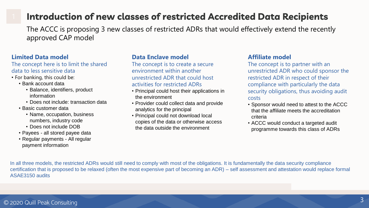#### **Introduction of new classes of restricted Accredited Data Recipients**

The ACCC is proposing 3 new classes of restricted ADRs that would effectively extend the recently approved CAP model

#### **Limited Data model**

The concept here is to limit the shared data to less sensitive data

- For banking, this could be:
	- Bank account data
		- Balance, identifiers, product information
		- Does not include: transaction data
	- Basic customer data
		- Name, occupation, business numbers, industry code
		- Does not include DOB
	- Payees all stored payee data
	- Regular payments All regular payment information

#### **Data Enclave model**

The concept is to create a secure environment within another unrestricted ADR that could host activities for restricted ADRs

- Principal could host their applications in the environment
- Provider could collect data and provide analytics for the principal
- Principal could not download local copies of the data or otherwise access the data outside the environment

#### **Affiliate model**

The concept is to partner with an unrestricted ADR who could sponsor the restricted ADR in respect of their compliance with particularly the data security obligations, thus avoiding audit costs

- Sponsor would need to attest to the ACCC that the affiliate meets the accreditation criteria
- ACCC would conduct a targeted audit programme towards this class of ADRs

In all three models, the restricted ADRs would still need to comply with most of the obligations. It is fundamentally the data security compliance certification that is proposed to be relaxed (often the most expensive part of becoming an ADR) – self assessment and attestation would replace formal ASAE3150 audits

#### © 2020 Quill Peak Consulting <sup>3</sup>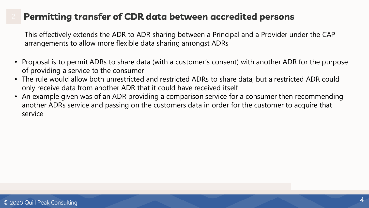#### **Permitting transfer of CDR data between accredited persons**

This effectively extends the ADR to ADR sharing between a Principal and a Provider under the CAP arrangements to allow more flexible data sharing amongst ADRs

- Proposal is to permit ADRs to share data (with a customer's consent) with another ADR for the purpose of providing a service to the consumer
- The rule would allow both unrestricted and restricted ADRs to share data, but a restricted ADR could only receive data from another ADR that it could have received itself
- An example given was of an ADR providing a comparison service for a consumer then recommending another ADRs service and passing on the customers data in order for the customer to acquire that service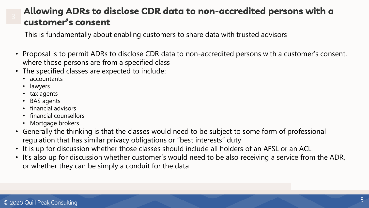#### Allowing ADRs to disclose CDR data to non-accredited persons with a customer's consent

This is fundamentally about enabling customers to share data with trusted advisors

- Proposal is to permit ADRs to disclose CDR data to non-accredited persons with a customer's consent, where those persons are from a specified class
- The specified classes are expected to include:
	- accountants
	- lawyers
	- tax agents
	- BAS agents
	- financial advisors
	- financial counsellors
	- Mortgage brokers
- Generally the thinking is that the classes would need to be subject to some form of professional regulation that has similar privacy obligations or "best interests" duty
- It is up for discussion whether those classes should include all holders of an AFSL or an ACL
- It's also up for discussion whether customer's would need to be also receiving a service from the ADR, or whether they can be simply a conduit for the data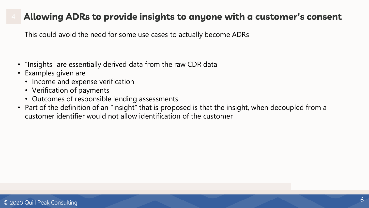#### Allowing ADRs to provide insights to anyone with a customer's consent

This could avoid the need for some use cases to actually become ADRs

- "Insights" are essentially derived data from the raw CDR data
- Examples given are
	- Income and expense verification
	- Verification of payments
	- Outcomes of responsible lending assessments
- Part of the definition of an "insight" that is proposed is that the insight, when decoupled from a customer identifier would not allow identification of the customer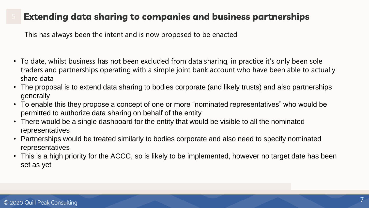### Extending data sharing to companies and business partnerships

This has always been the intent and is now proposed to be enacted

- To date, whilst business has not been excluded from data sharing, in practice it's only been sole traders and partnerships operating with a simple joint bank account who have been able to actually share data
- The proposal is to extend data sharing to bodies corporate (and likely trusts) and also partnerships generally
- To enable this they propose a concept of one or more "nominated representatives" who would be permitted to authorize data sharing on behalf of the entity
- There would be a single dashboard for the entity that would be visible to all the nominated representatives
- Partnerships would be treated similarly to bodies corporate and also need to specify nominated representatives
- This is a high priority for the ACCC, so is likely to be implemented, however no target date has been set as yet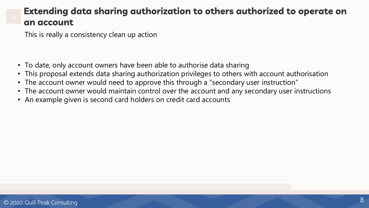#### Extending data sharing authorization to others authorized to operate on an account

This is really a consistency clean up action

- To date, only account owners have been able to authorise data sharing
- This proposal extends data sharing authorization privileges to others with account authorisation
- The account owner would need to approve this through a "secondary user instruction"
- The account owner would maintain control over the account and any secondary user instructions
- An example given is second card holders on credit card accounts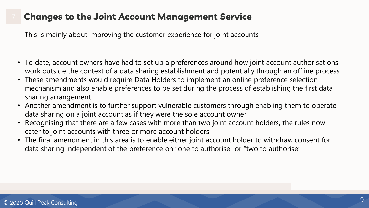### **Changes to the Joint Account Management Service**

This is mainly about improving the customer experience for joint accounts

- To date, account owners have had to set up a preferences around how joint account authorisations work outside the context of a data sharing establishment and potentially through an offline process
- These amendments would require Data Holders to implement an online preference selection mechanism and also enable preferences to be set during the process of establishing the first data sharing arrangement
- Another amendment is to further support vulnerable customers through enabling them to operate data sharing on a joint account as if they were the sole account owner
- Recognising that there are a few cases with more than two joint account holders, the rules now cater to joint accounts with three or more account holders
- The final amendment in this area is to enable either joint account holder to withdraw consent for data sharing independent of the preference on "one to authorise" or "two to authorise"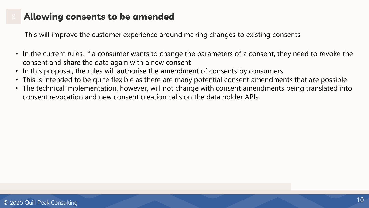### Allowing consents to be amended

This will improve the customer experience around making changes to existing consents

- In the current rules, if a consumer wants to change the parameters of a consent, they need to revoke the consent and share the data again with a new consent
- In this proposal, the rules will authorise the amendment of consents by consumers
- This is intended to be quite flexible as there are many potential consent amendments that are possible
- The technical implementation, however, will not change with consent amendments being translated into consent revocation and new consent creation calls on the data holder APIs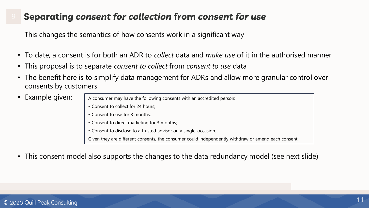#### Separating consent for collection from consent for use

This changes the semantics of how consents work in a significant way

- To date, a consent is for both an ADR to *collect* data and *make use* of it in the authorised manner
- This proposal is to separate *consent to collect* from *consent to use* data
- The benefit here is to simplify data management for ADRs and allow more granular control over consents by customers
- Example given:

A consumer may have the following consents with an accredited person:

- Consent to collect for 24 hours;
- Consent to use for 3 months;
- Consent to direct marketing for 3 months;
- Consent to disclose to a trusted advisor on a single-occasion.

Given they are different consents, the consumer could independently withdraw or amend each consent.

• This consent model also supports the changes to the data redundancy model (see next slide)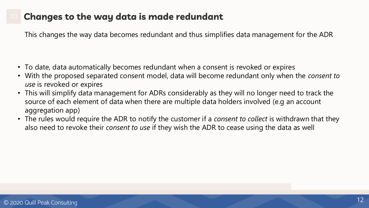### Changes to the way data is made redundant

This changes the way data becomes redundant and thus simplifies data management for the ADR

- To date, data automatically becomes redundant when a consent is revoked or expires
- With the proposed separated consent model, data will become redundant only when the *consent to use* is revoked or expires
- This will simplify data management for ADRs considerably as they will no longer need to track the source of each element of data when there are multiple data holders involved (e.g an account aggregation app)
- The rules would require the ADR to notify the customer if a *consent to collect* is withdrawn that they also need to revoke their *consent to use* if they wish the ADR to cease using the data as well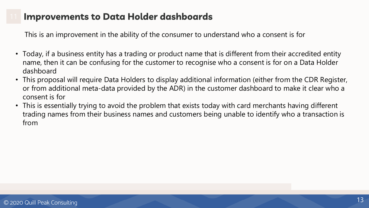#### **Improvements to Data Holder dashboards**

This is an improvement in the ability of the consumer to understand who a consent is for

- Today, if a business entity has a trading or product name that is different from their accredited entity name, then it can be confusing for the customer to recognise who a consent is for on a Data Holder dashboard
- This proposal will require Data Holders to display additional information (either from the CDR Register, or from additional meta-data provided by the ADR) in the customer dashboard to make it clear who a consent is for
- This is essentially trying to avoid the problem that exists today with card merchants having different trading names from their business names and customers being unable to identify who a transaction is from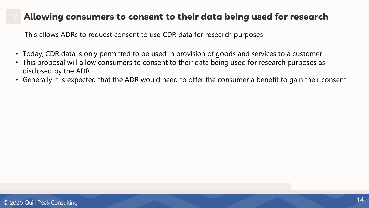### Allowing consumers to consent to their data being used for research

This allows ADRs to request consent to use CDR data for research purposes

- Today, CDR data is only permitted to be used in provision of goods and services to a customer
- This proposal will allow consumers to consent to their data being used for research purposes as disclosed by the ADR
- Generally it is expected that the ADR would need to offer the consumer a benefit to gain their consent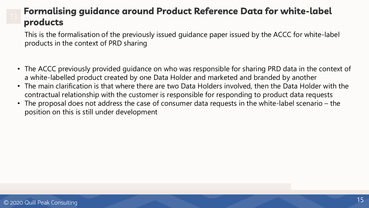### **Formalising guidance around Product Reference Data for white-label** products

This is the formalisation of the previously issued guidance paper issued by the ACCC for white-label products in the context of PRD sharing

- The ACCC previously provided guidance on who was responsible for sharing PRD data in the context of a white-labelled product created by one Data Holder and marketed and branded by another
- The main clarification is that where there are two Data Holders involved, then the Data Holder with the contractual relationship with the customer is responsible for responding to product data requests
- The proposal does not address the case of consumer data requests in the white-label scenario the position on this is still under development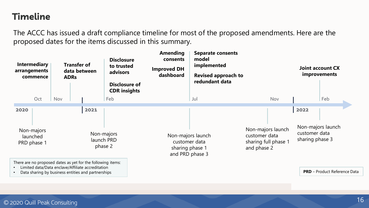#### **Timeline**

The ACCC has issued a draft compliance timeline for most of the proposed amendments. Here are the proposed dates for the items discussed in this summary.